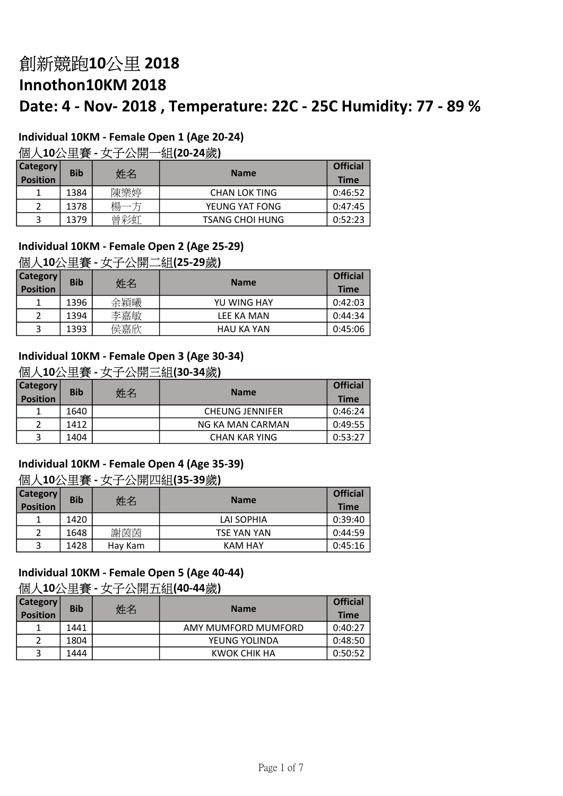# Individual 10KM - Female Open 1 (Age 20-24)

## 個人10公里賽 - 女子公開一組(20-24歲)

| <b>Category</b><br><b>Position</b> | <b>Bib</b> | 姓名  | <b>Name</b>            | <b>Official</b><br><b>Time</b> |
|------------------------------------|------------|-----|------------------------|--------------------------------|
|                                    | 1384       | 陳樂婷 | <b>CHAN LOK TING</b>   | 0:46:52                        |
|                                    | 1378       | 場   | YEUNG YAT FONG         | 0:47:45                        |
| 2                                  | 1379       | 曾彩虹 | <b>TSANG CHOI HUNG</b> | 0:52:23                        |

# Individual 10KM - Female Open 2 (Age 25-29)

#### 個人10公里賽 - 女子公開二組(25-29歲)

| <b>Category</b><br><b>Position</b> | <b>Bib</b> | 姓名  | <b>Name</b>       | <b>Official</b><br><b>Time</b> |
|------------------------------------|------------|-----|-------------------|--------------------------------|
|                                    | 1396       | 余穎曦 | YU WING HAY       | 0:42:03                        |
|                                    | 1394       | 李嘉敏 | LEE KA MAN        | 0:44:34                        |
|                                    | 1393       | 侯嘉欣 | <b>HAU KA YAN</b> | 0:45:06                        |

#### Individual 10KM - Female Open 3 (Age 30-34)

#### 個人10公里賽 - 女子公開三組(30-34歲)

| <b>Category</b><br><b>Position</b> | <b>Bib</b> | 姓名 | <b>Name</b>            | <b>Official</b><br><b>Time</b> |
|------------------------------------|------------|----|------------------------|--------------------------------|
| 1                                  | 1640       |    | <b>CHEUNG JENNIFER</b> | 0:46:24                        |
| 2                                  | 1412       |    | NG KA MAN CARMAN       | 0:49:55                        |
| 3                                  | 1404       |    | <b>CHAN KAR YING</b>   | 0:53:27                        |

### Individual 10KM - Female Open 4 (Age 35-39)

### 個人10公里賽 - 女子公開四組(35-39歲)

| <b>Category</b><br><b>Position</b> | <b>Bib</b> | 姓名      | <b>Name</b> | <b>Official</b><br><b>Time</b> |
|------------------------------------|------------|---------|-------------|--------------------------------|
|                                    | 1420       |         | LAI SOPHIA  | 0:39:40                        |
|                                    | 1648       | 謝芮芮     | TSE YAN YAN | 0:44:59                        |
| 3                                  | 1428       | Hay Kam | KAM HAY     | 0:45:16                        |

# Individual 10KM - Female Open 5 (Age 40-44)

# 個人10公里賽 - 女子公開五組(40-44歲)

| <b>Category</b><br><b>Position</b> | <b>Bib</b> | 姓名 | <b>Name</b>         | <b>Official</b><br><b>Time</b> |
|------------------------------------|------------|----|---------------------|--------------------------------|
|                                    | 1441       |    | AMY MUMFORD MUMFORD | 0:40:27                        |
|                                    | 1804       |    | YEUNG YOLINDA       | 0:48:50                        |
|                                    | 1444       |    | KWOK CHIK HA        | 0:50:52                        |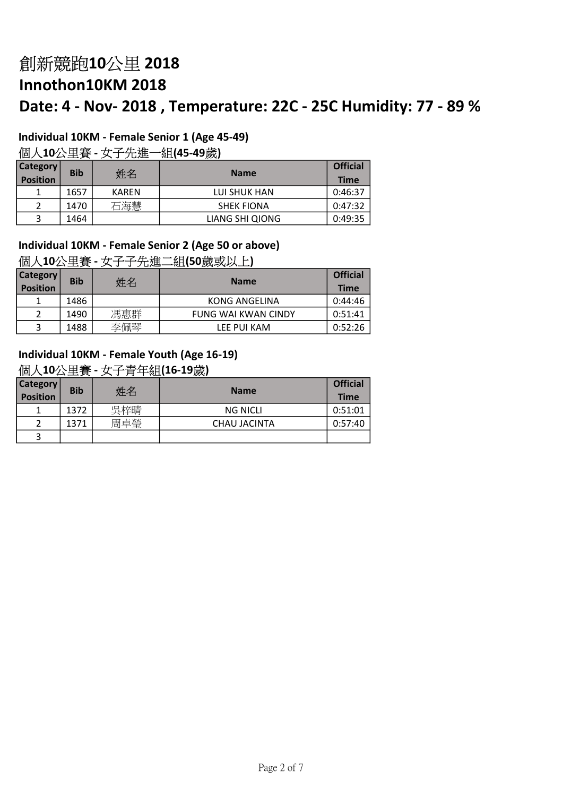# Individual 10KM - Female Senior 1 (Age 45-49)

# 個人10公里賽 - 女子先進一組(45-49歲)

| Category  <br><b>Position</b> | <b>Bib</b> | 姓名           | <b>Name</b>       | <b>Official</b><br><b>Time</b> |
|-------------------------------|------------|--------------|-------------------|--------------------------------|
|                               | 1657       | <b>KAREN</b> | LUI SHUK HAN      | 0:46:37                        |
|                               | 1470       | 石海慧          | <b>SHEK FIONA</b> | 0:47:32                        |
| 3                             | 1464       |              | LIANG SHI QIONG   | 0:49:35                        |

#### Individual 10KM - Female Senior 2 (Age 50 or above) 個人10公里賽 - 女子子先進二組(50歲或以上)

| Category <sup>y</sup><br><b>Position</b> | <b>Bib</b> | 姓名  | <b>Name</b>                | <b>Official</b><br>Time |
|------------------------------------------|------------|-----|----------------------------|-------------------------|
|                                          | 1486       |     | KONG ANGELINA              | 0:44:46                 |
| າ                                        | 1490       | 馮惠群 | <b>FUNG WAI KWAN CINDY</b> | 0:51:41                 |
| 3                                        | 1488       | 李佩琴 | LEE PUI KAM                | 0:52:26                 |

### Individual 10KM - Female Youth (Age 16-19)

#### 個人10公里賽 - 女子青年組(16-19歲)

| <b>Category</b><br><b>Position</b> | <b>Bib</b> | 姓名  | <b>Name</b>         | <b>Official</b><br><b>Time</b> |
|------------------------------------|------------|-----|---------------------|--------------------------------|
|                                    | 1372       | 吳梓晴 | <b>NG NICLI</b>     | 0:51:01                        |
| 2                                  | 1371       | 周卓瑩 | <b>CHAU JACINTA</b> | 0:57:40                        |
| 3                                  |            |     |                     |                                |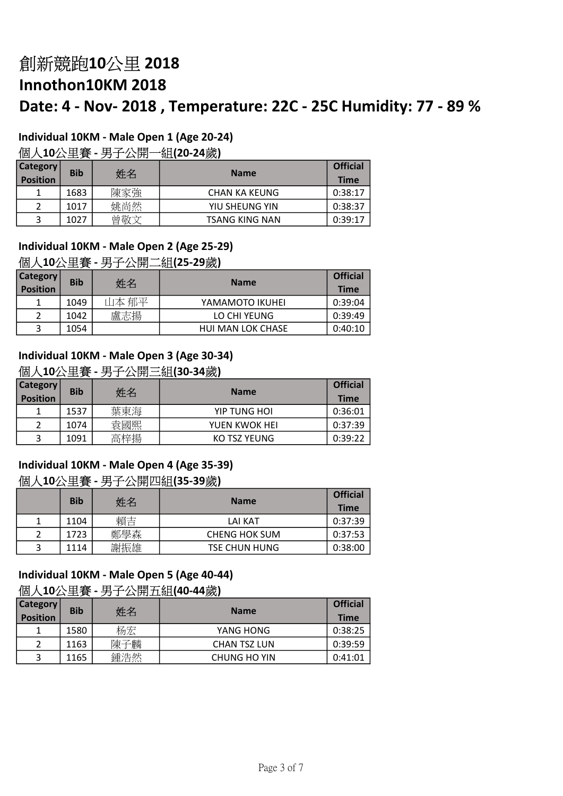# Individual 10KM - Male Open 1 (Age 20-24)

## 個人10公里賽 - 男子公開一組(20-24歲)

| <b>Category</b><br><b>Position</b> | <b>Bib</b> | 姓名  | <b>Name</b>           | <b>Official</b><br><b>Time</b> |
|------------------------------------|------------|-----|-----------------------|--------------------------------|
|                                    | 1683       | 陳家強 | <b>CHAN KA KEUNG</b>  | 0:38:17                        |
|                                    | 1017       | 姚尚然 | YIU SHEUNG YIN        | 0:38:37                        |
| 3                                  | 1027       | 曾敬文 | <b>TSANG KING NAN</b> | 0:39:17                        |

# Individual 10KM - Male Open 2 (Age 25-29)

#### 個人10公里賽 - 男子公開二組(25-29歲)

| <b>Category</b><br><b>Position</b> | <b>Bib</b> | 姓名    | <b>Name</b>              | <b>Official</b><br><b>Time</b> |
|------------------------------------|------------|-------|--------------------------|--------------------------------|
|                                    | 1049       | 山本 郁平 | YAMAMOTO IKUHEI          | 0:39:04                        |
|                                    | 1042       | 盧志揚   | LO CHI YEUNG             | 0:39:49                        |
| 3                                  | 1054       |       | <b>HUI MAN LOK CHASE</b> | 0:40:10                        |

#### Individual 10KM - Male Open 3 (Age 30-34)

### 個人10公里賽 - 男子公開三組(30-34歲)

| Category <sup>®</sup><br><b>Position</b> | <b>Bib</b> | 姓名  | <b>Name</b>   | <b>Official</b><br><b>Time</b> |
|------------------------------------------|------------|-----|---------------|--------------------------------|
|                                          | 1537       | 葉東海 | YIP TUNG HOI  | 0:36:01                        |
|                                          | 1074       | 袁國熙 | YUEN KWOK HEI | 0:37:39                        |
| 3                                        | 1091       | 高梓揚 | KO TSZ YEUNG  | 0:39:22                        |

# Individual 10KM - Male Open 4 (Age 35-39) 個人10公里賽 - 男子公開四組(35-39歲)

|   | <b>Bib</b> | 姓名  | <b>Name</b>          | <b>Official</b><br><b>Time</b> |
|---|------------|-----|----------------------|--------------------------------|
|   | 1104       | 賴吉  | <b>LAI KAT</b>       | 0:37:39                        |
|   | 1723       | 鄭學森 | <b>CHENG HOK SUM</b> | 0:37:53                        |
| 3 | 1114       | 謝振雄 | <b>TSE CHUN HUNG</b> | 0:38:00                        |

# Individual 10KM - Male Open 5 (Age 40-44)

#### 個人10公里賽 - 男子公開五組(40-44歲)

| <b>Category</b><br><b>Position</b> | <b>Bib</b> | 姓名  | <b>Name</b>         | <b>Official</b><br><b>Time</b> |
|------------------------------------|------------|-----|---------------------|--------------------------------|
|                                    | 1580       | 杨宏  | YANG HONG           | 0:38:25                        |
| 2                                  | 1163       | 陳子麟 | <b>CHAN TSZ LUN</b> | 0:39:59                        |
| 3                                  | 1165       | 鍾浩然 | CHUNG HO YIN        | 0:41:01                        |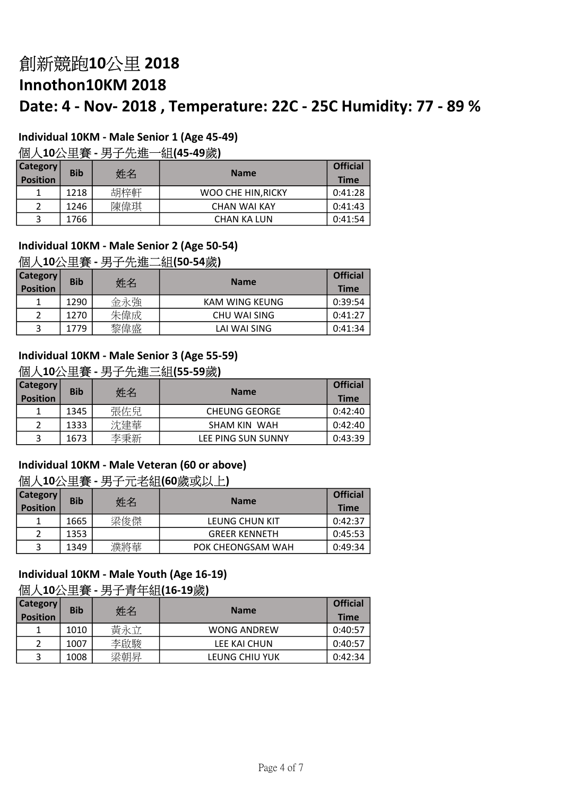# Individual 10KM - Male Senior 1 (Age 45-49)

## 個人10公里賽 - 男子先進一組(45-49歲)

| <b>Category</b><br><b>Position</b> | <b>Bib</b> | 姓名  | <b>Name</b>         | <b>Official</b><br><b>Time</b> |
|------------------------------------|------------|-----|---------------------|--------------------------------|
|                                    | 1218       | 胡梓軒 | WOO CHE HIN RICKY   | 0:41:28                        |
|                                    | 1246       | 陳偉琪 | <b>CHAN WAI KAY</b> | 0:41:43                        |
| 3                                  | 1766       |     | <b>CHAN KA LUN</b>  | 0:41:54                        |

# Individual 10KM - Male Senior 2 (Age 50-54)

#### 個人10公里賽 - 男子先進二組(50-54歲)

| <b>Category</b><br>Position | <b>Bib</b> | 姓名  | <b>Name</b>         | <b>Official</b><br><b>Time</b> |
|-----------------------------|------------|-----|---------------------|--------------------------------|
|                             | 1290       | 金永強 | KAM WING KEUNG      | 0:39:54                        |
|                             | 1270       | 朱偉成 | <b>CHU WAI SING</b> | 0:41:27                        |
|                             | 1779       | 黎偉盛 | LAI WAI SING        | 0:41:34                        |

#### Individual 10KM - Male Senior 3 (Age 55-59)

#### 個人10公里賽 - 男子先進三組(55-59歲)

| <b>Category</b><br><b>Position</b> | <b>Bib</b> | 姓名  | <b>Name</b>          | <b>Official</b><br><b>Time</b> |
|------------------------------------|------------|-----|----------------------|--------------------------------|
|                                    | 1345       | 張佐兒 | <b>CHEUNG GEORGE</b> | 0:42:40                        |
|                                    | 1333       | 沈建華 | SHAM KIN WAH         | 0:42:40                        |
| 3                                  | 1673       | 李秉新 | LEE PING SUN SUNNY   | 0:43:39                        |

#### Individual 10KM - Male Veteran (60 or above)

### 個人10公里賽 - 男子元老組(60歲或以上)

| Category <sup>®</sup><br><b>Position</b> | <b>Bib</b> | 姓名  | <b>Name</b>          | <b>Official</b><br><b>Time</b> |
|------------------------------------------|------------|-----|----------------------|--------------------------------|
|                                          | 1665       | 梁俊傑 | LEUNG CHUN KIT       | 0:42:37                        |
|                                          | 1353       |     | <b>GREER KENNETH</b> | 0:45:53                        |
| 3                                        | 1349       | 濮將華 | POK CHEONGSAM WAH    | 0:49:34                        |

#### Individual 10KM - Male Youth (Age 16-19) 個人10公里賽 - 男子青年組(16-19歲)

| <b>Category</b><br>Position | <b>Bib</b> | 姓名  | <b>Name</b>        | <b>Official</b><br><b>Time</b> |
|-----------------------------|------------|-----|--------------------|--------------------------------|
|                             | 1010       | 黃永立 | <b>WONG ANDREW</b> | 0:40:57                        |
|                             | 1007       | 李啟駿 | LEE KAI CHUN       | 0:40:57                        |
|                             | 1008       | 梁朝昇 | LEUNG CHIU YUK     | 0:42:34                        |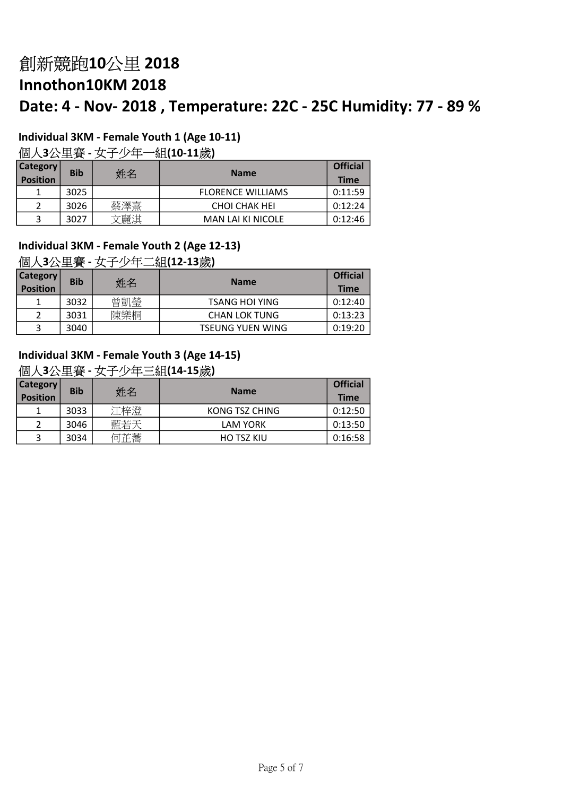# Individual 3KM - Female Youth 1 (Age 10-11)

# 個人3公里賽 - 女子少年一組(10-11歲)

| <b>Category</b><br><b>Position</b> | <b>Bib</b> | 姓名  | <b>Name</b>              | <b>Official</b><br><b>Time</b> |
|------------------------------------|------------|-----|--------------------------|--------------------------------|
|                                    | 3025       |     | <b>FLORENCE WILLIAMS</b> | 0:11:59                        |
|                                    | 3026       | 蔡澤熹 | <b>CHOI CHAK HEI</b>     | 0:12:24                        |
|                                    | 3027       | 麗淇  | <b>MAN LAI KI NICOLE</b> | 0:12:46                        |

# Individual 3KM - Female Youth 2 (Age 12-13)

## 個人3公里賽 - 女子少年二組(12-13歲)

| <b>Category</b><br><b>Position</b> | <b>Bib</b> | 姓名  | <b>Name</b>             | <b>Official</b><br><b>Time</b> |
|------------------------------------|------------|-----|-------------------------|--------------------------------|
|                                    | 3032       | 曾凱瑩 | <b>TSANG HOI YING</b>   | 0:12:40                        |
|                                    | 3031       | 陳樂桐 | <b>CHAN LOK TUNG</b>    | 0:13:23                        |
|                                    | 3040       |     | <b>TSEUNG YUEN WING</b> | 0:19:20                        |

### Individual 3KM - Female Youth 3 (Age 14-15)

#### 個人3公里賽 - 女子少年三組(14-15歲)

| <b>Category</b><br><b>Position</b> | <b>Bib</b> | 姓名  | <b>Name</b>       | <b>Official</b><br><b>Time</b> |
|------------------------------------|------------|-----|-------------------|--------------------------------|
|                                    | 3033       | 江梓澄 | KONG TSZ CHING    | 0:12:50                        |
| 2                                  | 3046       | 藍若天 | <b>LAM YORK</b>   | 0:13:50                        |
| 3                                  | 3034       | 何芷蕎 | <b>HO TSZ KIU</b> | 0:16:58                        |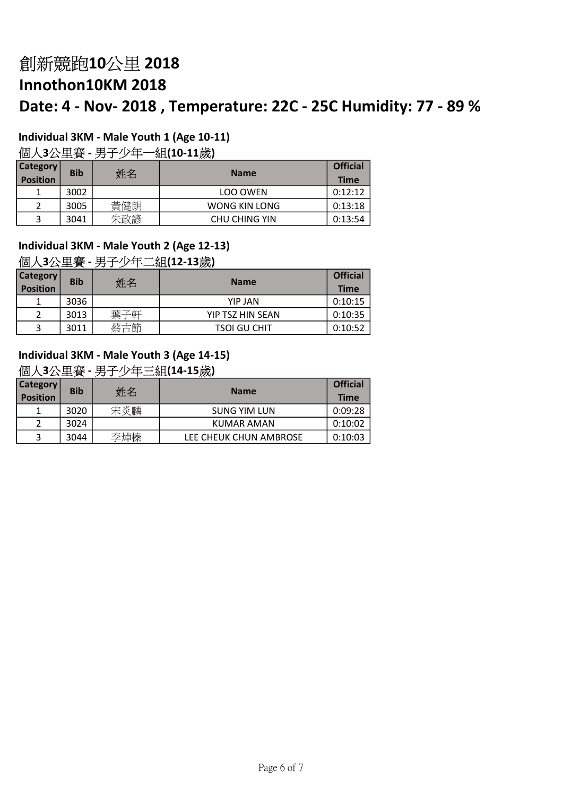# Individual 3KM - Male Youth 1 (Age 10-11)

# 個人3公里賽 - 男子少年一組(10-11歲)

| <b>Category</b><br><b>Position</b> | <b>Bib</b> | 姓名  | <b>Name</b>   | <b>Official</b><br><b>Time</b> |
|------------------------------------|------------|-----|---------------|--------------------------------|
|                                    | 3002       |     | LOO OWEN      | 0:12:12                        |
|                                    | 3005       | 黃健朗 | WONG KIN LONG | 0:13:18                        |
|                                    | 3041       | 朱政諺 | CHU CHING YIN | 0:13:54                        |

# Individual 3KM - Male Youth 2 (Age 12-13)

## 個人3公里賽 - 男子少年二組(12-13歲)

| <b>Category</b><br><b>Position</b> | <b>Bib</b> | 姓名  | <b>Name</b>         | <b>Official</b><br><b>Time</b> |
|------------------------------------|------------|-----|---------------------|--------------------------------|
|                                    | 3036       |     | <b>YIP JAN</b>      | 0:10:15                        |
|                                    | 3013       | 葉子軒 | YIP TSZ HIN SEAN    | 0:10:35                        |
| 3                                  | 3011       | 蔡古節 | <b>TSOI GU CHIT</b> | 0:10:52                        |

## Individual 3KM - Male Youth 3 (Age 14-15)

#### 個人3公里賽 - 男子少年三組(14-15歲)

| <b>Category</b><br><b>Position</b> | <b>Bib</b> | 姓名  | <b>Name</b>            | <b>Official</b><br><b>Time</b> |
|------------------------------------|------------|-----|------------------------|--------------------------------|
|                                    | 3020       | 宋炎麟 | <b>SUNG YIM LUN</b>    | 0:09:28                        |
|                                    | 3024       |     | KUMAR AMAN             | 0:10:02                        |
| 3                                  | 3044       | 李焯榛 | LEE CHEUK CHUN AMBROSE | 0:10:03                        |